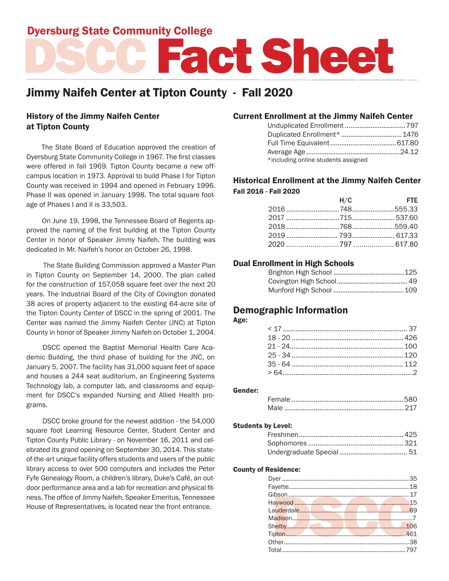# Dyersburg State Community College

# DSCC Fact Sheet

# Jimmy Naifeh Center at Tipton County - Fall 2020

# History of the Jimmy Naifeh Center at Tipton County

 The State Board of Education approved the creation of Dyersburg State Community College in 1967. The first classes were offered in fall 1969. Tipton County became a new offcampus location in 1973. Approval to build Phase I for Tipton County was received in 1994 and opened in February 1996. Phase II was opened in January 1998. The total square footage of Phases I and II is 33,503.

 On June 19, 1998, the Tennessee Board of Regents approved the naming of the first building at the Tipton County Center in honor of Speaker Jimmy Naifeh. The building was dedicated in Mr. Naifeh's honor on October 26, 1998.

 The State Building Commission approved a Master Plan in Tipton County on September 14, 2000. The plan called for the construction of 157,058 square feet over the next 20 years. The Industrial Board of the City of Covington donated 38 acres of property adjacent to the existing 64-acre site of the Tipton County Center of DSCC in the spring of 2001. The Center was named the Jimmy Naifeh Center (JNC) at Tipton County in honor of Speaker Jimmy Naifeh on October 1, 2004.

DSCC opened the Baptist Memorial Health Care Academic Building, the third phase of building for the JNC, on January 5, 2007. The facility has 31,000 square feet of space and houses a 244 seat auditorium, an Engineering Systems Technology lab, a computer lab, and classrooms and equipment for DSCC's expanded Nursing and Allied Health programs.

DSCC broke ground for the newest addition - the 54,000 square foot Learning Resource Center, Student Center and Tipton County Public Library - on November 16, 2011 and celebrated its grand opening on September 30, 2014. This stateof-the-art unique facility offers students and users of the public library access to over 500 computers and includes the Peter Fyfe Genealogy Room, a children's library, Duke's Café, an outdoor performance area and a lab for recreation and physical fitness. The office of Jimmy Naifeh, Speaker Emeritus, Tennessee House of Representatives, is located near the front entrance.

### Current Enrollment at the Jimmy Naifeh Center

| *including online students assigned |  |
|-------------------------------------|--|

# Historical Enrollment at the Jimmy Naifeh Center Fall 2016 - Fall 2020

| H/C | <b>Example 20 FTE</b> |
|-----|-----------------------|
|     |                       |
|     |                       |
|     |                       |
|     |                       |
|     |                       |

## Dual Enrollment in High Schools

# Demographic Information

#### Age:

#### Gender:

#### Students by Level:

#### County of Residence: